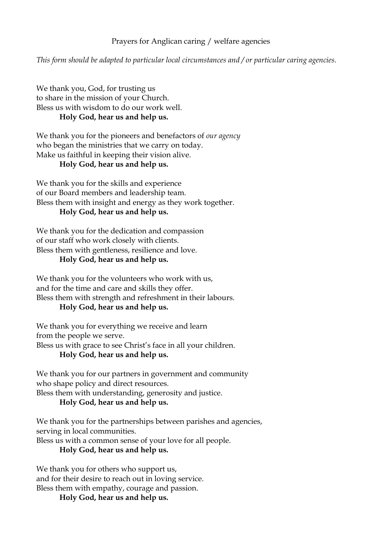## Prayers for Anglican caring / welfare agencies

*This form should be adapted to particular local circumstances and / or particular caring agencies.*

We thank you, God, for trusting us to share in the mission of your Church. Bless us with wisdom to do our work well. **Holy God, hear us and help us.**

We thank you for the pioneers and benefactors of *our agency* who began the ministries that we carry on today. Make us faithful in keeping their vision alive.

### **Holy God, hear us and help us.**

We thank you for the skills and experience of our Board members and leadership team. Bless them with insight and energy as they work together. **Holy God, hear us and help us.**

We thank you for the dedication and compassion of our staff who work closely with clients. Bless them with gentleness, resilience and love.

#### **Holy God, hear us and help us.**

We thank you for the volunteers who work with us, and for the time and care and skills they offer. Bless them with strength and refreshment in their labours.

# **Holy God, hear us and help us.**

We thank you for everything we receive and learn from the people we serve. Bless us with grace to see Christ's face in all your children. **Holy God, hear us and help us.**

We thank you for our partners in government and community who shape policy and direct resources. Bless them with understanding, generosity and justice.

#### **Holy God, hear us and help us.**

We thank you for the partnerships between parishes and agencies, serving in local communities.

Bless us with a common sense of your love for all people.

**Holy God, hear us and help us.**

We thank you for others who support us, and for their desire to reach out in loving service. Bless them with empathy, courage and passion.

**Holy God, hear us and help us.**